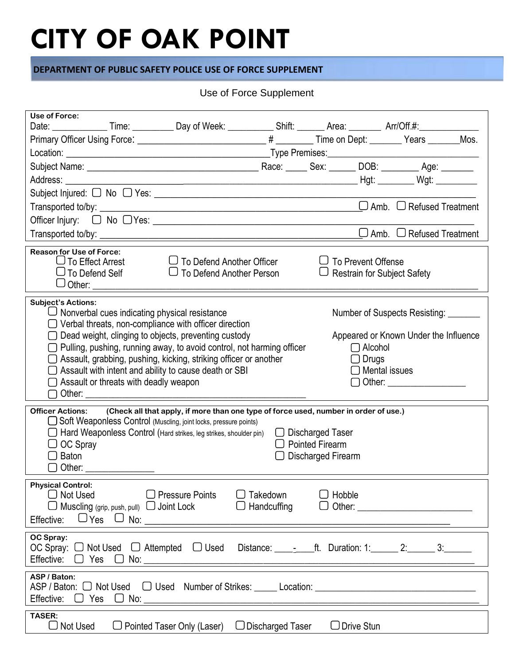## **CITY OF OAK POINT**

#### **DEPARTMENT OF PUBLIC SAFETY POLICE USE OF FORCE SUPPLEMENT**

### Use of Force Supplement

| Use of Force:                                                                                                               |                                               | Date: ________________Time: ____________Day of Week: _____________Shift: ________ Area: _________ Arr/Off.#: ____________                                                                                                                                                                                                                                                                    |                         |                                                                                |                                                 |                                                                                                     |  |  |  |
|-----------------------------------------------------------------------------------------------------------------------------|-----------------------------------------------|----------------------------------------------------------------------------------------------------------------------------------------------------------------------------------------------------------------------------------------------------------------------------------------------------------------------------------------------------------------------------------------------|-------------------------|--------------------------------------------------------------------------------|-------------------------------------------------|-----------------------------------------------------------------------------------------------------|--|--|--|
|                                                                                                                             |                                               |                                                                                                                                                                                                                                                                                                                                                                                              |                         |                                                                                |                                                 |                                                                                                     |  |  |  |
|                                                                                                                             |                                               |                                                                                                                                                                                                                                                                                                                                                                                              |                         |                                                                                |                                                 |                                                                                                     |  |  |  |
|                                                                                                                             |                                               |                                                                                                                                                                                                                                                                                                                                                                                              |                         |                                                                                |                                                 |                                                                                                     |  |  |  |
|                                                                                                                             |                                               |                                                                                                                                                                                                                                                                                                                                                                                              |                         |                                                                                |                                                 |                                                                                                     |  |  |  |
|                                                                                                                             |                                               | Subject Injured: $\Box$ No $\Box$ Yes: $\_\_\_\_\_\_\_\_\_\_\_\_\_\_\_\_\_\_\_\_\_$                                                                                                                                                                                                                                                                                                          |                         |                                                                                |                                                 |                                                                                                     |  |  |  |
|                                                                                                                             |                                               |                                                                                                                                                                                                                                                                                                                                                                                              |                         |                                                                                |                                                 | $\Box$ Amb. $\Box$ Refused Treatment                                                                |  |  |  |
|                                                                                                                             |                                               |                                                                                                                                                                                                                                                                                                                                                                                              |                         |                                                                                |                                                 |                                                                                                     |  |  |  |
|                                                                                                                             |                                               |                                                                                                                                                                                                                                                                                                                                                                                              |                         |                                                                                |                                                 | $\Box$ Amb. $\Box$ Refused Treatment                                                                |  |  |  |
| <b>Reason for Use of Force:</b><br>To Effect Arrest<br>$\cup$ To Defend Self                                                |                                               | $\Box$ To Defend Another Officer<br>$\Box$ To Defend Another Person                                                                                                                                                                                                                                                                                                                          |                         | $\Box$ To Prevent Offense<br>$\Box$ Restrain for Subject Safety                |                                                 |                                                                                                     |  |  |  |
| <b>Subject's Actions:</b><br>Other:                                                                                         | $\Box$ Assault or threats with deadly weapon  | $\Box$ Nonverbal cues indicating physical resistance<br>$\Box$ Verbal threats, non-compliance with officer direction<br>Dead weight, clinging to objects, preventing custody<br>Pulling, pushing, running away, to avoid control, not harming officer<br>$\supset$ Assault, grabbing, pushing, kicking, striking officer or another<br>Assault with intent and ability to cause death or SBI |                         |                                                                                | $\Box$ Alcohol<br>$\Box$ Drugs<br>Mental issues | Number of Suspects Resisting:<br>Appeared or Known Under the Influence<br>◯ Other: ________________ |  |  |  |
| <b>Officer Actions:</b><br>OC Spray<br>Baton                                                                                |                                               | (Check all that apply, if more than one type of force used, number in order of use.)<br>Soft Weaponless Control (Muscling, joint locks, pressure points)<br>$\Box$ Hard Weaponless Control (Hard strikes, leg strikes, shoulder pin)                                                                                                                                                         |                         | $\Box$ Discharged Taser<br><b>Pointed Firearm</b><br>$\Box$ Discharged Firearm |                                                 |                                                                                                     |  |  |  |
| <b>Physical Control:</b><br>Not Used<br>Effective:                                                                          | Muscling (grip, push, pull) $\Box$ Joint Lock | $\Box$ Pressure Points                                                                                                                                                                                                                                                                                                                                                                       | Takedown<br>Handcuffing | Hobble<br>$\mathsf{I}$<br>Other:<br>$\Box$                                     |                                                 |                                                                                                     |  |  |  |
| OC Spray:<br>OC Spray: $\Box$ Not Used $\Box$ Attempted<br>Effective:<br>Yes                                                |                                               | $\Box$ Used                                                                                                                                                                                                                                                                                                                                                                                  |                         | Distance: $\qquad \qquad$ - ft. Duration: 1: $\qquad \qquad$ 2: 3:             |                                                 |                                                                                                     |  |  |  |
| ASP / Baton:<br>ASP / Baton: O Not Used O Used Number of Strikes: Location: Location:<br>Effective:<br>Yes<br>$\mathcal{L}$ |                                               |                                                                                                                                                                                                                                                                                                                                                                                              |                         |                                                                                |                                                 |                                                                                                     |  |  |  |
| TASER:<br>Not Used<br>$\Box$                                                                                                |                                               | $\Box$ Pointed Taser Only (Laser)                                                                                                                                                                                                                                                                                                                                                            | $\Box$ Discharged Taser | $\Box$ Drive Stun                                                              |                                                 |                                                                                                     |  |  |  |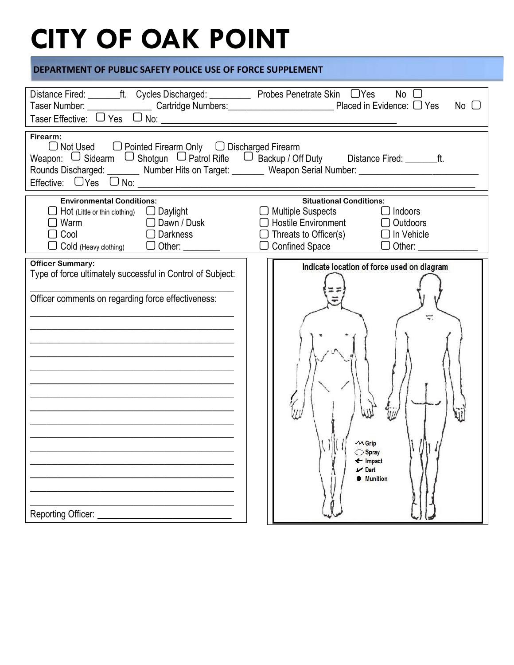# **CITY OF OAK POINT**

#### **DEPARTMENT OF PUBLIC SAFETY POLICE USE OF FORCE SUPPLEMENT**

| Distance Fired: ________ft. Cycles Discharged: ____________ Probes Penetrate Skin □ Yes                                                                                                                                                                                | $No$ $\Box$                                                                                                                                                                                                |  |  |  |  |  |  |  |
|------------------------------------------------------------------------------------------------------------------------------------------------------------------------------------------------------------------------------------------------------------------------|------------------------------------------------------------------------------------------------------------------------------------------------------------------------------------------------------------|--|--|--|--|--|--|--|
| Taser Number: Cantridge Numbers: Cantridge Numbers: Placed in Evidence: C Yes Taser Effective: C Yes C No:                                                                                                                                                             | No                                                                                                                                                                                                         |  |  |  |  |  |  |  |
| Firearm:<br>□ Not Used □ Pointed Firearm Only □ Discharged Firearm<br>Weapon: □ Sidearm □ Shotgun □ Patrol Rifle □ Backup / Off Duty Distance Fired: _______ft.<br>Rounds Discharged: ________ Number Hits on Target: _______ Weapon Serial Number: __________________ |                                                                                                                                                                                                            |  |  |  |  |  |  |  |
| <b>Environmental Conditions:</b><br>$\Box$ Hot (Little or thin clothing) $\Box$ Daylight<br>$\Box$ Dawn / Dusk<br>Warm<br>Cool<br>■ Darkness<br>Cold (Heavy clothing) $\Box$ Other: $\Box$                                                                             | <b>Situational Conditions:</b><br><b>Multiple Suspects</b><br>$\Box$ Indoors<br>Hostile Environment <sub>O</sub> Outdoors<br>Threats to Officer(s) $\Box$ In Vehicle<br>Confined Space □ Other: <u>□ □</u> |  |  |  |  |  |  |  |
| <b>Officer Summary:</b>                                                                                                                                                                                                                                                | Indicate location of force used on diagram                                                                                                                                                                 |  |  |  |  |  |  |  |
| Type of force ultimately successful in Control of Subject:                                                                                                                                                                                                             | $\sim$ Grip                                                                                                                                                                                                |  |  |  |  |  |  |  |
| Officer comments on regarding force effectiveness:                                                                                                                                                                                                                     | Spray                                                                                                                                                                                                      |  |  |  |  |  |  |  |
| <u> 1989 - Johann John Harry Barbara, mars and de ferrer and de ferrer and de ferrer and de ferrer and de ferrer</u>                                                                                                                                                   | ← Impact                                                                                                                                                                                                   |  |  |  |  |  |  |  |
|                                                                                                                                                                                                                                                                        | $\nu$ Dart                                                                                                                                                                                                 |  |  |  |  |  |  |  |
| Reporting Officer:                                                                                                                                                                                                                                                     | <b>Munition</b>                                                                                                                                                                                            |  |  |  |  |  |  |  |